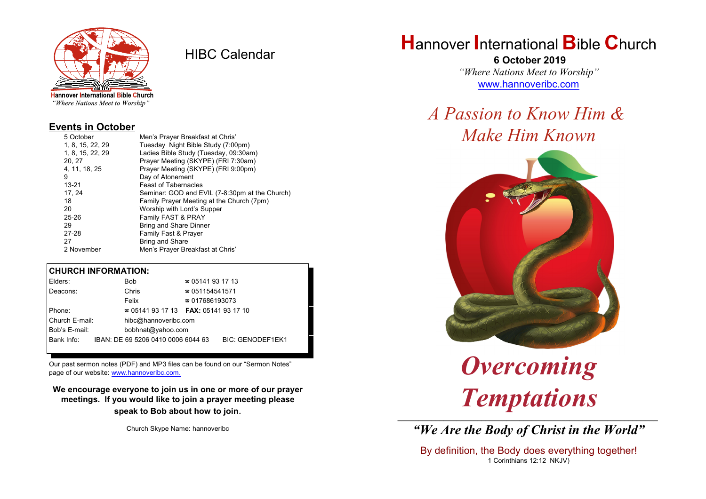

HIBC Calendar

"Where Nations Meet to Worship"

#### **Events in October**

| 5 October        | Men's Prayer Breakfast at Chris'               |
|------------------|------------------------------------------------|
| 1, 8, 15, 22, 29 | Tuesday Night Bible Study (7:00pm)             |
| 1, 8, 15, 22, 29 | Ladies Bible Study (Tuesday, 09:30am)          |
| 20, 27           | Prayer Meeting (SKYPE) (FRI 7:30am)            |
| 4, 11, 18, 25    | Prayer Meeting (SKYPE) (FRI 9:00pm)            |
| 9                | Day of Atonement                               |
| 13-21            | <b>Feast of Tabernacles</b>                    |
| 17.24            | Seminar: GOD and EVIL (7-8:30pm at the Church) |
| 18               | Family Prayer Meeting at the Church (7pm)      |
| 20               | Worship with Lord's Supper                     |
| $25 - 26$        | Family FAST & PRAY                             |
| 29               | <b>Bring and Share Dinner</b>                  |
| 27-28            | Family Fast & Prayer                           |
| 27               | <b>Bring and Share</b>                         |
| 2 November       | Men's Prayer Breakfast at Chris'               |

#### **CHURCH INFORMATION:**

| Elders:        | <b>Bob</b>                               | $\approx 05141931713$  |                         |  |
|----------------|------------------------------------------|------------------------|-------------------------|--|
| Deacons:       | Chris                                    | ☎ 051154541571         |                         |  |
|                | Felix                                    | $\approx 017686193073$ |                         |  |
| Phone:         | $\approx 05141931713$ FAX: 0514193 17 10 |                        |                         |  |
| Church E-mail: | hibc@hannoveribc.com                     |                        |                         |  |
| Bob's E-mail:  | bobhnat@yahoo.com                        |                        |                         |  |
| Bank Info:     | IBAN: DE 69 5206 0410 0006 6044 63       |                        | <b>BIC: GENODEF1EK1</b> |  |
|                |                                          |                        |                         |  |

Our past sermon notes (PDF) and MP3 files can be found on our "Sermon Notes" page of our website: [www.hannoveribc.com.](http://www.hannoveribc.com.)

**We encourage everyone to join us in one or more of our prayer meetings. If you would like to join a prayer meeting please speak to Bob about how to join**.

Church Skype Name: hannoveribc

## **H**annover **I**nternational **B**ible **C**hurch

 **6 October 2019** *"Where Nations Meet to Worship"* [www.hannoveribc.com](http://www.hannoveribc.com)

# *A Passion to Know Him & Make Him Known*



*Overcoming Temptations*

\_\_\_\_\_\_\_\_\_\_\_\_\_\_\_\_\_\_\_\_\_\_\_\_\_\_\_\_\_\_\_\_\_\_\_\_\_\_\_\_\_\_\_\_\_\_\_\_\_\_\_\_\_\_\_\_\_\_\_\_\_\_ *"We Are the Body of Christ in the World"*

By definition, the Body does everything together! 1 Corinthians 12:12 NKJV)